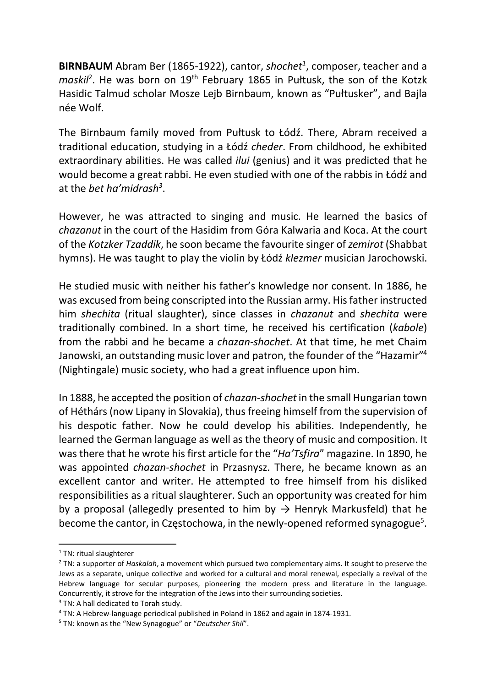**BIRNBAUM** Abram Ber (1865-1922), cantor, shochet<sup>1</sup>, composer, teacher and a maskil<sup>2</sup>. He was born on 19<sup>th</sup> February 1865 in Pułtusk, the son of the Kotzk Hasidic Talmud scholar Mosze Lejb Birnbaum, known as "Pułtusker", and Bajla née Wolf.

The Birnbaum family moved from Pułtusk to Łódź. There, Abram received a traditional education, studying in a Łódź cheder. From childhood, he exhibited extraordinary abilities. He was called *ilui* (genius) and it was predicted that he would become a great rabbi. He even studied with one of the rabbis in Łódź and at the bet ha'midrash<sup>3</sup>.

However, he was attracted to singing and music. He learned the basics of chazanut in the court of the Hasidim from Góra Kalwaria and Koca. At the court of the Kotzker Tzaddik, he soon became the favourite singer of zemirot (Shabbat hymns). He was taught to play the violin by Łódź klezmer musician Jarochowski.

He studied music with neither his father's knowledge nor consent. In 1886, he was excused from being conscripted into the Russian army. His father instructed him shechita (ritual slaughter), since classes in chazanut and shechita were traditionally combined. In a short time, he received his certification (kabole) from the rabbi and he became a chazan-shochet. At that time, he met Chaim Janowski, an outstanding music lover and patron, the founder of the "Hazamir"<sup>4</sup> (Nightingale) music society, who had a great influence upon him.

In 1888, he accepted the position of chazan-shochet in the small Hungarian town of Héthárs (now Lipany in Slovakia), thus freeing himself from the supervision of his despotic father. Now he could develop his abilities. Independently, he learned the German language as well as the theory of music and composition. It was there that he wrote his first article for the "Ha'Tsfira" magazine. In 1890, he was appointed chazan-shochet in Przasnysz. There, he became known as an excellent cantor and writer. He attempted to free himself from his disliked responsibilities as a ritual slaughterer. Such an opportunity was created for him by a proposal (allegedly presented to him by  $\rightarrow$  Henryk Markusfeld) that he become the cantor, in Częstochowa, in the newly-opened reformed synagogue<sup>5</sup>.

<sup>&</sup>lt;sup>1</sup> TN: ritual slaughterer

 $2$  TN: a supporter of Haskalah, a movement which pursued two complementary aims. It sought to preserve the Jews as a separate, unique collective and worked for a cultural and moral renewal, especially a revival of the Hebrew language for secular purposes, pioneering the modern press and literature in the language. Concurrently, it strove for the integration of the Jews into their surrounding societies.

<sup>&</sup>lt;sup>3</sup> TN: A hall dedicated to Torah study.

<sup>&</sup>lt;sup>4</sup> TN: A Hebrew-language periodical published in Poland in 1862 and again in 1874-1931.

<sup>&</sup>lt;sup>5</sup> TN: known as the "New Synagogue" or "Deutscher Shil".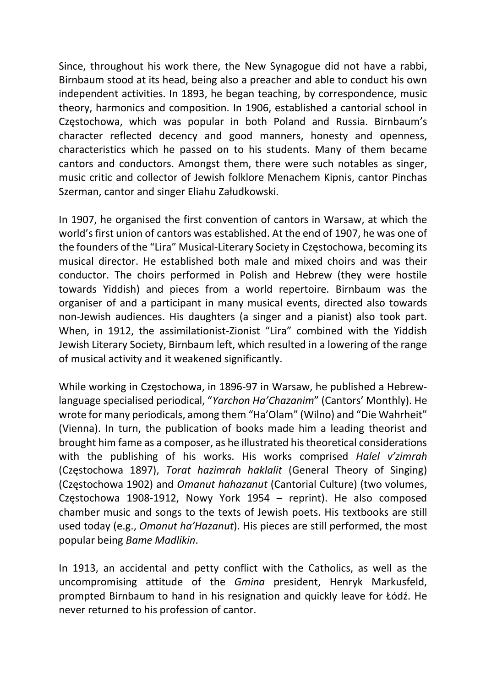Since, throughout his work there, the New Synagogue did not have a rabbi, Birnbaum stood at its head, being also a preacher and able to conduct his own independent activities. In 1893, he began teaching, by correspondence, music theory, harmonics and composition. In 1906, established a cantorial school in Częstochowa, which was popular in both Poland and Russia. Birnbaum's character reflected decency and good manners, honesty and openness, characteristics which he passed on to his students. Many of them became cantors and conductors. Amongst them, there were such notables as singer, music critic and collector of Jewish folklore Menachem Kipnis, cantor Pinchas Szerman, cantor and singer Eliahu Załudkowski.

In 1907, he organised the first convention of cantors in Warsaw, at which the world's first union of cantors was established. At the end of 1907, he was one of the founders of the "Lira" Musical-Literary Society in Częstochowa, becoming its musical director. He established both male and mixed choirs and was their conductor. The choirs performed in Polish and Hebrew (they were hostile towards Yiddish) and pieces from a world repertoire. Birnbaum was the organiser of and a participant in many musical events, directed also towards non-Jewish audiences. His daughters (a singer and a pianist) also took part. When, in 1912, the assimilationist-Zionist "Lira" combined with the Yiddish Jewish Literary Society, Birnbaum left, which resulted in a lowering of the range of musical activity and it weakened significantly.

While working in Częstochowa, in 1896-97 in Warsaw, he published a Hebrewlanguage specialised periodical, "Yarchon Ha'Chazanim" (Cantors' Monthly). He wrote for many periodicals, among them "Ha'Olam" (Wilno) and "Die Wahrheit" (Vienna). In turn, the publication of books made him a leading theorist and brought him fame as a composer, as he illustrated his theoretical considerations with the publishing of his works. His works comprised Halel v'zimrah (Częstochowa 1897), Torat hazimrah haklalit (General Theory of Singing) (Częstochowa 1902) and Omanut hahazanut (Cantorial Culture) (two volumes, Częstochowa 1908-1912, Nowy York 1954 – reprint). He also composed chamber music and songs to the texts of Jewish poets. His textbooks are still used today (e.g., Omanut ha'Hazanut). His pieces are still performed, the most popular being Bame Madlikin.

In 1913, an accidental and petty conflict with the Catholics, as well as the uncompromising attitude of the Gmina president, Henryk Markusfeld, prompted Birnbaum to hand in his resignation and quickly leave for Łódź. He never returned to his profession of cantor.